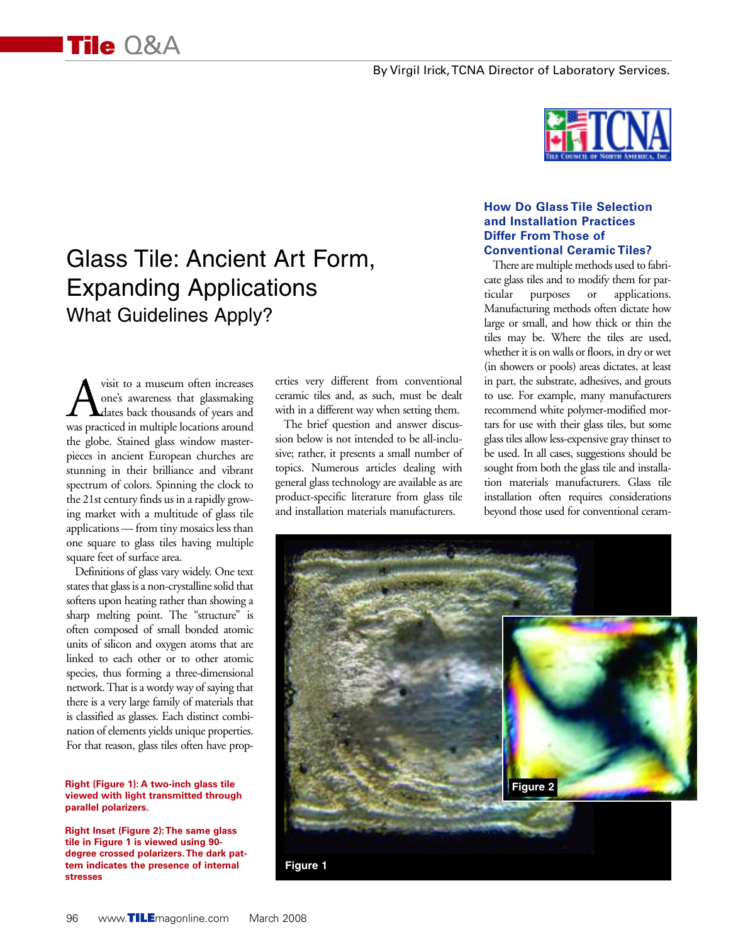# Glass Tile: Ancient Art Form, Expanding Applications What Guidelines Apply?

wisit to a museum often increases<br>
one's awareness that glassmaking<br>
was practiced in multiple locations around one's awareness that glassmaking dates back thousands of years and was practiced in multiple locations around the globe. Stained glass window masterpieces in ancient European churches are stunning in their brilliance and vibrant spectrum of colors. Spinning the clock to the 21st century finds us in a rapidly growing market with a multitude of glass tile applications — from tiny mosaics less than one square to glass tiles having multiple square feet of surface area.

**Tile** Q&A

Definitions of glass vary widely. One text states that glass is a non-crystalline solid that softens upon heating rather than showing a sharp melting point. The "structure" is often composed of small bonded atomic units of silicon and oxygen atoms that are linked to each other or to other atomic species, thus forming a three-dimensional network. That is a wordy way of saying that there is a very large family of materials that is classified as glasses. Each distinct combination of elements yields unique properties. For that reason, glass tiles often have prop-

#### **Right (Figure 1): A two-inch glass tile viewed with light transmitted through parallel polarizers.**

**Right Inset (Figure 2):The same glass tile in Figure 1 is viewed using 90 degree crossed polarizers.The dark pattern indicates the presence of internal stresses**

erties very different from conventional ceramic tiles and, as such, must be dealt with in a different way when setting them.

The brief question and answer discussion below is not intended to be all-inclusive; rather, it presents a small number of topics. Numerous articles dealing with general glass technology are available as are product-specific literature from glass tile and installation materials manufacturers.



#### **How Do Glass Tile Selection and Installation Practices Differ From Those of Conventional Ceramic Tiles?**

There are multiple methods used to fabricate glass tiles and to modify them for particular purposes or applications. Manufacturing methods often dictate how large or small, and how thick or thin the tiles may be. Where the tiles are used, whether it is on walls or floors, in dry or wet (in showers or pools) areas dictates, at least in part, the substrate, adhesives, and grouts to use. For example, many manufacturers recommend white polymer-modified mortars for use with their glass tiles, but some glass tiles allow less-expensive gray thinset to be used. In all cases, suggestions should be sought from both the glass tile and installation materials manufacturers. Glass tile installation often requires considerations beyond those used for conventional ceram-